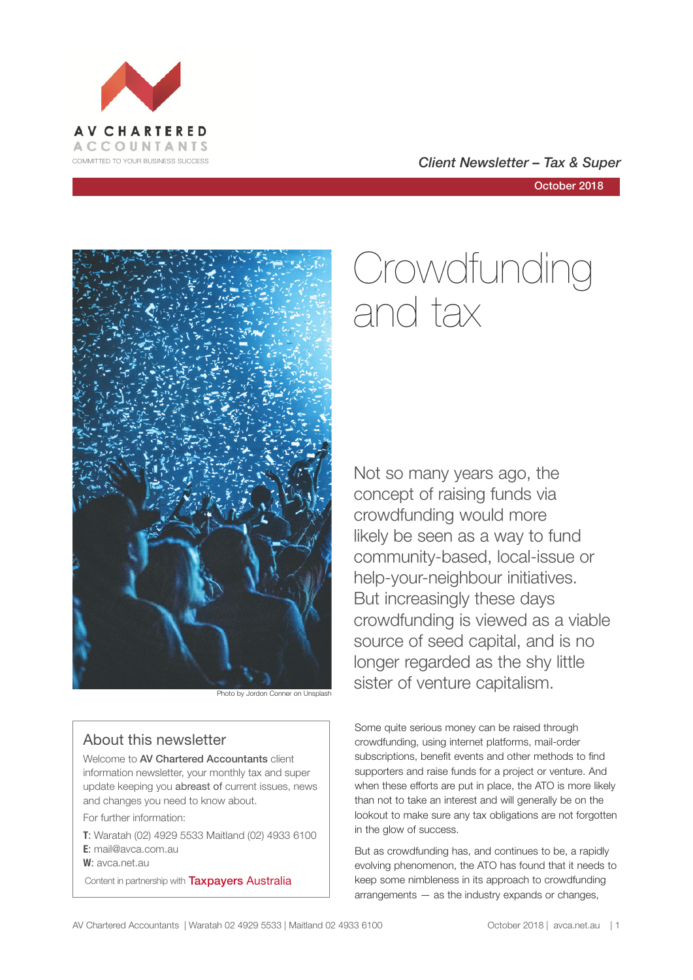



October 2018



#### About this newsletter

Welcome to AV Chartered Accountants client information newsletter, your monthly tax and super update keeping you abreast of current issues, news and changes you need to know about.

For further information:

**T**: Waratah (02) 4929 5533 Maitland (02) 4933 6100 **E**: mail@avca.com.au

**W**: avca.net.au

Content in partnership with **Taxpayers Australia** 

# Crowdfunding and tax

Not so many years ago, the concept of raising funds via crowdfunding would more likely be seen as a way to fund community-based, local-issue or help-your-neighbour initiatives. But increasingly these days crowdfunding is viewed as a viable source of seed capital, and is no longer regarded as the shy little **Sister of venture capitalism.** Photo by Jordon Conner on Unsplash

> Some quite serious money can be raised through crowdfunding, using internet platforms, mail-order subscriptions, benefit events and other methods to find supporters and raise funds for a project or venture. And when these efforts are put in place, the ATO is more likely than not to take an interest and will generally be on the lookout to make sure any tax obligations are not forgotten in the glow of success.

> But as crowdfunding has, and continues to be, a rapidly evolving phenomenon, the ATO has found that it needs to keep some nimbleness in its approach to crowdfunding arrangements — as the industry expands or changes,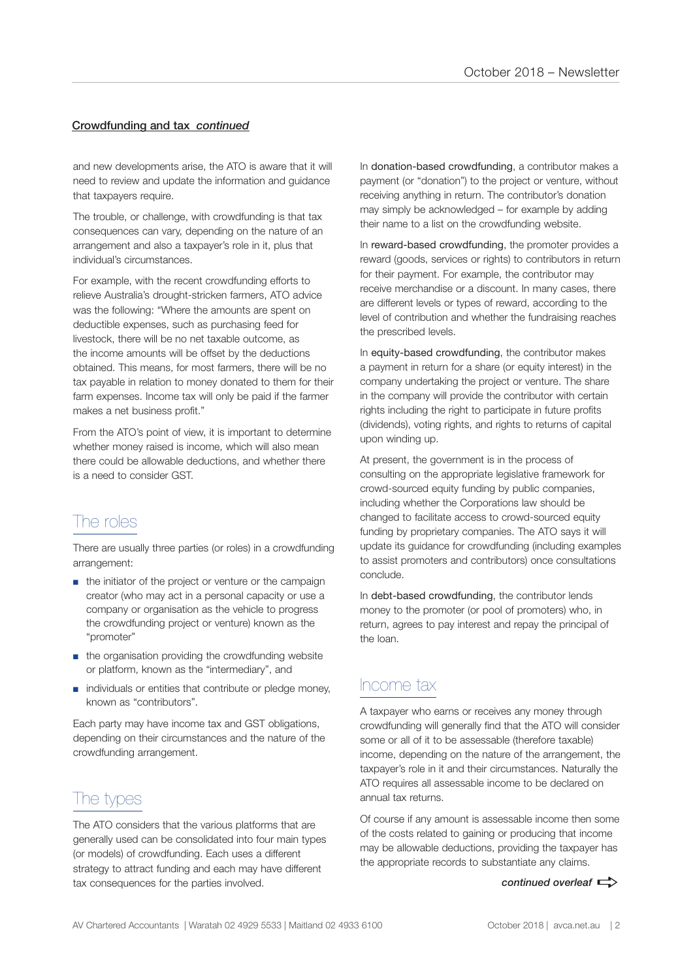#### Crowdfunding and tax *continued*

and new developments arise, the ATO is aware that it will need to review and update the information and guidance that taxpayers require.

The trouble, or challenge, with crowdfunding is that tax consequences can vary, depending on the nature of an arrangement and also a taxpayer's role in it, plus that individual's circumstances.

For example, with the recent crowdfunding efforts to relieve Australia's drought-stricken farmers, ATO advice was the following: "Where the amounts are spent on deductible expenses, such as purchasing feed for livestock, there will be no net taxable outcome, as the income amounts will be offset by the deductions obtained. This means, for most farmers, there will be no tax payable in relation to money donated to them for their farm expenses. Income tax will only be paid if the farmer makes a net business profit."

From the ATO's point of view, it is important to determine whether money raised is income, which will also mean there could be allowable deductions, and whether there is a need to consider GST.

# The roles

There are usually three parties (or roles) in a crowdfunding arrangement:

- the initiator of the project or venture or the campaign creator (who may act in a personal capacity or use a company or organisation as the vehicle to progress the crowdfunding project or venture) known as the "promoter"
- the organisation providing the crowdfunding website or platform, known as the "intermediary", and
- individuals or entities that contribute or pledge money, known as "contributors".

Each party may have income tax and GST obligations, depending on their circumstances and the nature of the crowdfunding arrangement.

# The types

The ATO considers that the various platforms that are generally used can be consolidated into four main types (or models) of crowdfunding. Each uses a different strategy to attract funding and each may have different tax consequences for the parties involved.

In donation-based crowdfunding, a contributor makes a payment (or "donation") to the project or venture, without receiving anything in return. The contributor's donation may simply be acknowledged – for example by adding their name to a list on the crowdfunding website.

In reward-based crowdfunding, the promoter provides a reward (goods, services or rights) to contributors in return for their payment. For example, the contributor may receive merchandise or a discount. In many cases, there are different levels or types of reward, according to the level of contribution and whether the fundraising reaches the prescribed levels.

In equity-based crowdfunding, the contributor makes a payment in return for a share (or equity interest) in the company undertaking the project or venture. The share in the company will provide the contributor with certain rights including the right to participate in future profits (dividends), voting rights, and rights to returns of capital upon winding up.

At present, the government is in the process of consulting on the appropriate legislative framework for crowd-sourced equity funding by public companies, including whether the Corporations law should be changed to facilitate access to crowd-sourced equity funding by proprietary companies. The ATO says it will update its guidance for crowdfunding (including examples to assist promoters and contributors) once consultations conclude.

In debt-based crowdfunding, the contributor lends money to the promoter (or pool of promoters) who, in return, agrees to pay interest and repay the principal of the loan.

### Income tax

A taxpayer who earns or receives any money through crowdfunding will generally find that the ATO will consider some or all of it to be assessable (therefore taxable) income, depending on the nature of the arrangement, the taxpayer's role in it and their circumstances. Naturally the ATO requires all assessable income to be declared on annual tax returns.

Of course if any amount is assessable income then some of the costs related to gaining or producing that income may be allowable deductions, providing the taxpayer has the appropriate records to substantiate any claims.

*continued overleaf*  $\Rightarrow$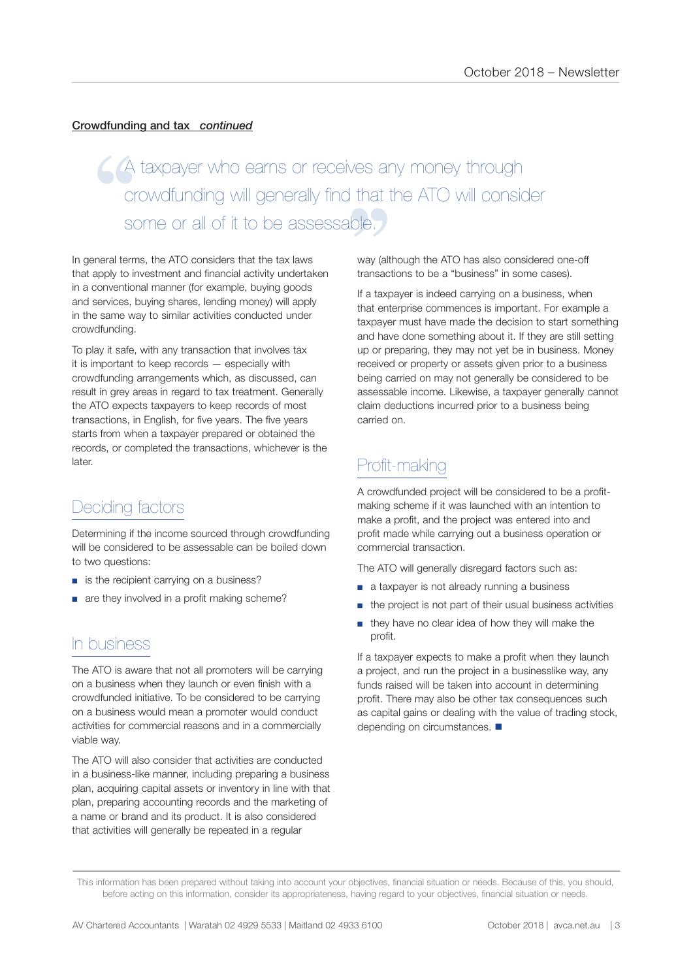#### Crowdfunding and tax *continued*

es a<br>that<br>ole. A taxpayer who earns or receives any money through crowdfunding will generally find that the ATO will consider GA<br>
Crc<br>
SOI<br>
SOI<br>
Reneral terms some or all of it to be assessable.

In general terms, the ATO considers that the tax laws that apply to investment and financial activity undertaken in a conventional manner (for example, buying goods and services, buying shares, lending money) will apply in the same way to similar activities conducted under crowdfunding.

To play it safe, with any transaction that involves tax it is important to keep records — especially with crowdfunding arrangements which, as discussed, can result in grey areas in regard to tax treatment. Generally the ATO expects taxpayers to keep records of most transactions, in English, for five years. The five years starts from when a taxpayer prepared or obtained the records, or completed the transactions, whichever is the later.

### Deciding factors

Determining if the income sourced through crowdfunding will be considered to be assessable can be boiled down to two questions:

- is the recipient carrying on a business?
- are they involved in a profit making scheme?

### In business

The ATO is aware that not all promoters will be carrying on a business when they launch or even finish with a crowdfunded initiative. To be considered to be carrying on a business would mean a promoter would conduct activities for commercial reasons and in a commercially viable way.

The ATO will also consider that activities are conducted in a business-like manner, including preparing a business plan, acquiring capital assets or inventory in line with that plan, preparing accounting records and the marketing of a name or brand and its product. It is also considered that activities will generally be repeated in a regular

way (although the ATO has also considered one-off transactions to be a "business" in some cases).

If a taxpayer is indeed carrying on a business, when that enterprise commences is important. For example a taxpayer must have made the decision to start something and have done something about it. If they are still setting up or preparing, they may not yet be in business. Money received or property or assets given prior to a business being carried on may not generally be considered to be assessable income. Likewise, a taxpayer generally cannot claim deductions incurred prior to a business being carried on.

# Profit-making

A crowdfunded project will be considered to be a profitmaking scheme if it was launched with an intention to make a profit, and the project was entered into and profit made while carrying out a business operation or commercial transaction.

The ATO will generally disregard factors such as:

- a taxpayer is not already running a business
- the project is not part of their usual business activities
- they have no clear idea of how they will make the profit.

If a taxpayer expects to make a profit when they launch a project, and run the project in a businesslike way, any funds raised will be taken into account in determining profit. There may also be other tax consequences such as capital gains or dealing with the value of trading stock, depending on circumstances.  $\blacksquare$ 

This information has been prepared without taking into account your objectives, financial situation or needs. Because of this, you should, before acting on this information, consider its appropriateness, having regard to your objectives, financial situation or needs.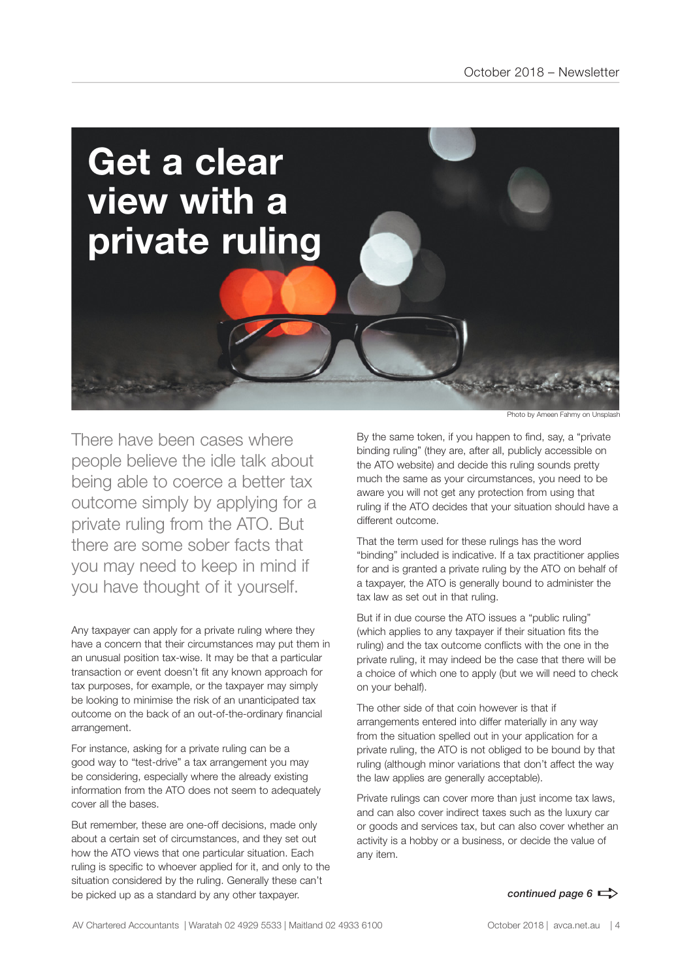

There have been cases where people believe the idle talk about being able to coerce a better tax outcome simply by applying for a private ruling from the ATO. But there are some sober facts that you may need to keep in mind if you have thought of it yourself.

Any taxpayer can apply for a private ruling where they have a concern that their circumstances may put them in an unusual position tax-wise. It may be that a particular transaction or event doesn't fit any known approach for tax purposes, for example, or the taxpayer may simply be looking to minimise the risk of an unanticipated tax outcome on the back of an out-of-the-ordinary financial arrangement.

For instance, asking for a private ruling can be a good way to "test-drive" a tax arrangement you may be considering, especially where the already existing information from the ATO does not seem to adequately cover all the bases.

But remember, these are one-off decisions, made only about a certain set of circumstances, and they set out how the ATO views that one particular situation. Each ruling is specific to whoever applied for it, and only to the situation considered by the ruling. Generally these can't be picked up as a standard by any other taxpayer.

Photo by Ameen Fahmy on Unsplash

By the same token, if you happen to find, say, a "private binding ruling" (they are, after all, publicly accessible on the ATO website) and decide this ruling sounds pretty much the same as your circumstances, you need to be aware you will not get any protection from using that ruling if the ATO decides that your situation should have a different outcome.

That the term used for these rulings has the word "binding" included is indicative. If a tax practitioner applies for and is granted a private ruling by the ATO on behalf of a taxpayer, the ATO is generally bound to administer the tax law as set out in that ruling.

But if in due course the ATO issues a "public ruling" (which applies to any taxpayer if their situation fits the ruling) and the tax outcome conflicts with the one in the private ruling, it may indeed be the case that there will be a choice of which one to apply (but we will need to check on your behalf).

The other side of that coin however is that if arrangements entered into differ materially in any way from the situation spelled out in your application for a private ruling, the ATO is not obliged to be bound by that ruling (although minor variations that don't affect the way the law applies are generally acceptable).

Private rulings can cover more than just income tax laws, and can also cover indirect taxes such as the luxury car or goods and services tax, but can also cover whether an activity is a hobby or a business, or decide the value of any item.

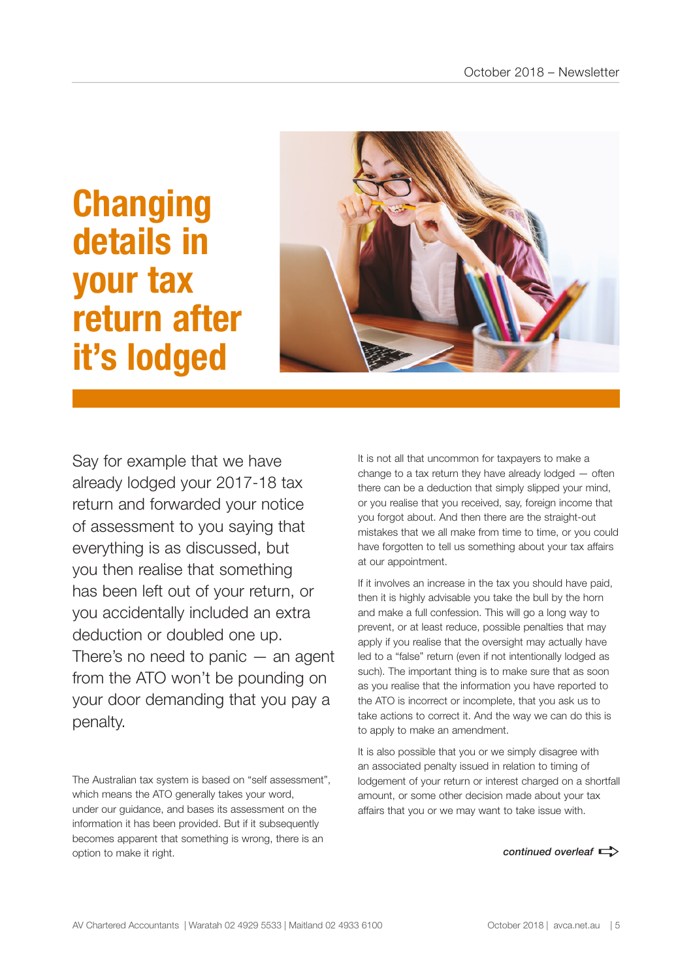# **Changing details in your tax return after it's lodged**



Say for example that we have already lodged your 2017-18 tax return and forwarded your notice of assessment to you saying that everything is as discussed, but you then realise that something has been left out of your return, or you accidentally included an extra deduction or doubled one up. There's no need to panic  $-$  an agent from the ATO won't be pounding on your door demanding that you pay a penalty.

The Australian tax system is based on "self assessment", which means the ATO generally takes your word, under our guidance, and bases its assessment on the information it has been provided. But if it subsequently becomes apparent that something is wrong, there is an option to make it right.

It is not all that uncommon for taxpayers to make a change to a tax return they have already lodged — often there can be a deduction that simply slipped your mind, or you realise that you received, say, foreign income that you forgot about. And then there are the straight-out mistakes that we all make from time to time, or you could have forgotten to tell us something about your tax affairs at our appointment.

If it involves an increase in the tax you should have paid, then it is highly advisable you take the bull by the horn and make a full confession. This will go a long way to prevent, or at least reduce, possible penalties that may apply if you realise that the oversight may actually have led to a "false" return (even if not intentionally lodged as such). The important thing is to make sure that as soon as you realise that the information you have reported to the ATO is incorrect or incomplete, that you ask us to take actions to correct it. And the way we can do this is to apply to make an amendment.

It is also possible that you or we simply disagree with an associated penalty issued in relation to timing of lodgement of your return or interest charged on a shortfall amount, or some other decision made about your tax affairs that you or we may want to take issue with.

*continued overleaf*  $\Rightarrow$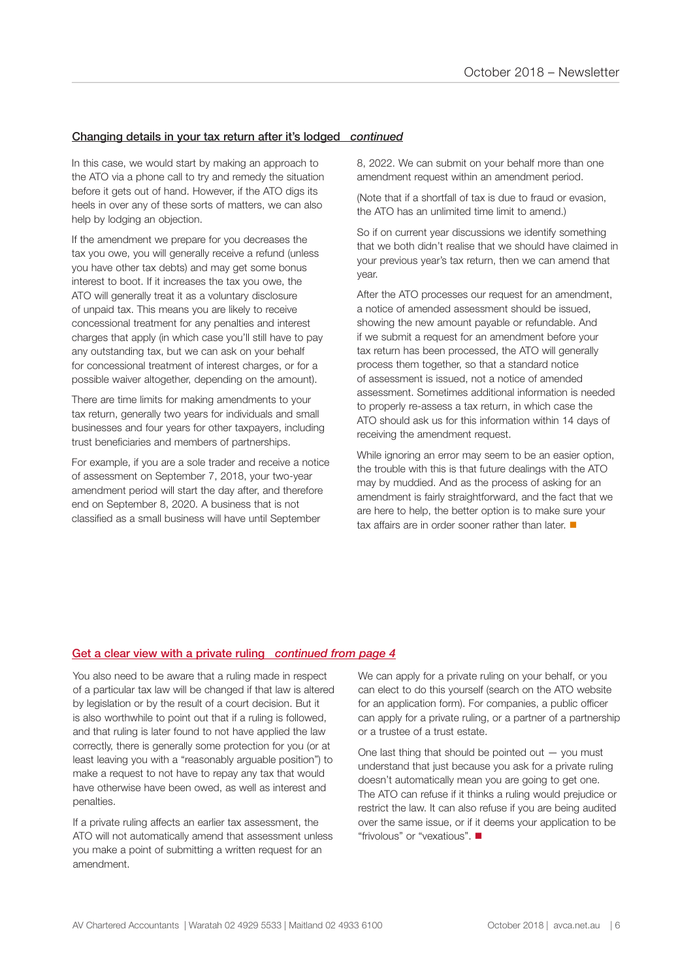#### Changing details in your tax return after it's lodged *continued*

In this case, we would start by making an approach to the ATO via a phone call to try and remedy the situation before it gets out of hand. However, if the ATO digs its heels in over any of these sorts of matters, we can also help by lodging an objection.

If the amendment we prepare for you decreases the tax you owe, you will generally receive a refund (unless you have other tax debts) and may get some bonus interest to boot. If it increases the tax you owe, the ATO will generally treat it as a voluntary disclosure of unpaid tax. This means you are likely to receive concessional treatment for any penalties and interest charges that apply (in which case you'll still have to pay any outstanding tax, but we can ask on your behalf for concessional treatment of interest charges, or for a possible waiver altogether, depending on the amount).

There are time limits for making amendments to your tax return, generally two years for individuals and small businesses and four years for other taxpayers, including trust beneficiaries and members of partnerships.

For example, if you are a sole trader and receive a notice of assessment on September 7, 2018, your two-year amendment period will start the day after, and therefore end on September 8, 2020. A business that is not classified as a small business will have until September

8, 2022. We can submit on your behalf more than one amendment request within an amendment period.

(Note that if a shortfall of tax is due to fraud or evasion, the ATO has an unlimited time limit to amend.)

So if on current year discussions we identify something that we both didn't realise that we should have claimed in your previous year's tax return, then we can amend that year.

After the ATO processes our request for an amendment, a notice of amended assessment should be issued, showing the new amount payable or refundable. And if we submit a request for an amendment before your tax return has been processed, the ATO will generally process them together, so that a standard notice of assessment is issued, not a notice of amended assessment. Sometimes additional information is needed to properly re-assess a tax return, in which case the ATO should ask us for this information within 14 days of receiving the amendment request.

While ignoring an error may seem to be an easier option, the trouble with this is that future dealings with the ATO may by muddied. And as the process of asking for an amendment is fairly straightforward, and the fact that we are here to help, the better option is to make sure your tax affairs are in order sooner rather than later.  $\blacksquare$ 

#### Get a clear view with a private ruling *continued from page 4*

You also need to be aware that a ruling made in respect of a particular tax law will be changed if that law is altered by legislation or by the result of a court decision. But it is also worthwhile to point out that if a ruling is followed, and that ruling is later found to not have applied the law correctly, there is generally some protection for you (or at least leaving you with a "reasonably arguable position") to make a request to not have to repay any tax that would have otherwise have been owed, as well as interest and penalties.

If a private ruling affects an earlier tax assessment, the ATO will not automatically amend that assessment unless you make a point of submitting a written request for an amendment.

We can apply for a private ruling on your behalf, or you can elect to do this yourself (search on the ATO website for an application form). For companies, a public officer can apply for a private ruling, or a partner of a partnership or a trustee of a trust estate.

One last thing that should be pointed out — you must understand that just because you ask for a private ruling doesn't automatically mean you are going to get one. The ATO can refuse if it thinks a ruling would prejudice or restrict the law. It can also refuse if you are being audited over the same issue, or if it deems your application to be "frivolous" or "vexatious". n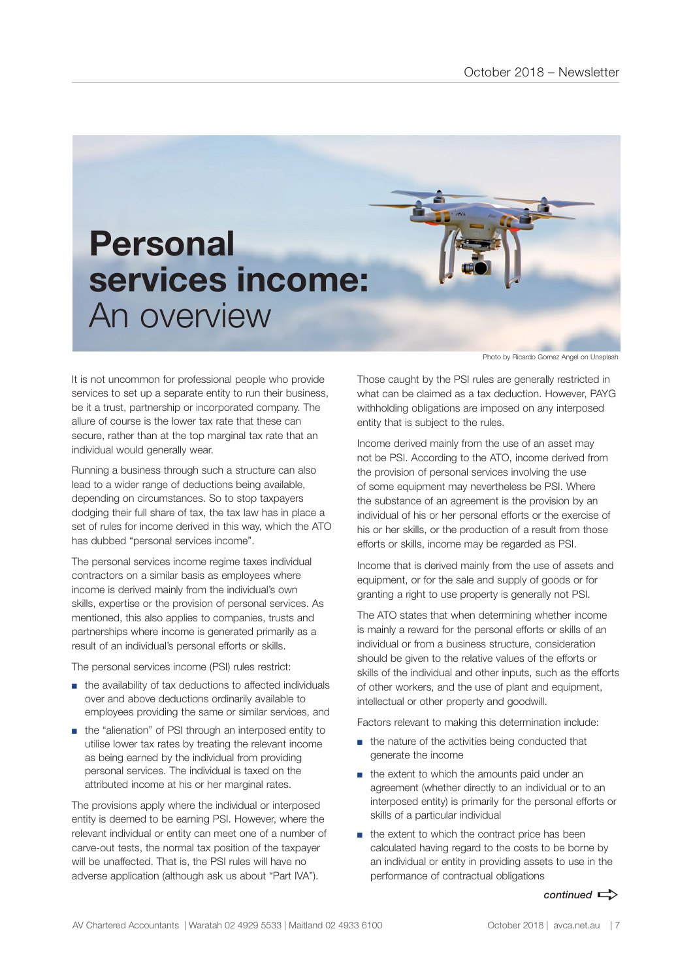

It is not uncommon for professional people who provide services to set up a separate entity to run their business, be it a trust, partnership or incorporated company. The allure of course is the lower tax rate that these can secure, rather than at the top marginal tax rate that an individual would generally wear.

Running a business through such a structure can also lead to a wider range of deductions being available, depending on circumstances. So to stop taxpayers dodging their full share of tax, the tax law has in place a set of rules for income derived in this way, which the ATO has dubbed "personal services income".

The personal services income regime taxes individual contractors on a similar basis as employees where income is derived mainly from the individual's own skills, expertise or the provision of personal services. As mentioned, this also applies to companies, trusts and partnerships where income is generated primarily as a result of an individual's personal efforts or skills.

The personal services income (PSI) rules restrict:

- the availability of tax deductions to affected individuals over and above deductions ordinarily available to employees providing the same or similar services, and
- the "alienation" of PSI through an interposed entity to utilise lower tax rates by treating the relevant income as being earned by the individual from providing personal services. The individual is taxed on the attributed income at his or her marginal rates.

The provisions apply where the individual or interposed entity is deemed to be earning PSI. However, where the relevant individual or entity can meet one of a number of carve-out tests, the normal tax position of the taxpayer will be unaffected. That is, the PSI rules will have no adverse application (although ask us about "Part IVA").

Photo by Ricardo Gomez Angel on Unsplash

Those caught by the PSI rules are generally restricted in what can be claimed as a tax deduction. However, PAYG withholding obligations are imposed on any interposed entity that is subject to the rules.

Income derived mainly from the use of an asset may not be PSI. According to the ATO, income derived from the provision of personal services involving the use of some equipment may nevertheless be PSI. Where the substance of an agreement is the provision by an individual of his or her personal efforts or the exercise of his or her skills, or the production of a result from those efforts or skills, income may be regarded as PSI.

Income that is derived mainly from the use of assets and equipment, or for the sale and supply of goods or for granting a right to use property is generally not PSI.

The ATO states that when determining whether income is mainly a reward for the personal efforts or skills of an individual or from a business structure, consideration should be given to the relative values of the efforts or skills of the individual and other inputs, such as the efforts of other workers, and the use of plant and equipment, intellectual or other property and goodwill.

Factors relevant to making this determination include:

- the nature of the activities being conducted that generate the income
- the extent to which the amounts paid under an agreement (whether directly to an individual or to an interposed entity) is primarily for the personal efforts or skills of a particular individual
- the extent to which the contract price has been calculated having regard to the costs to be borne by an individual or entity in providing assets to use in the performance of contractual obligations